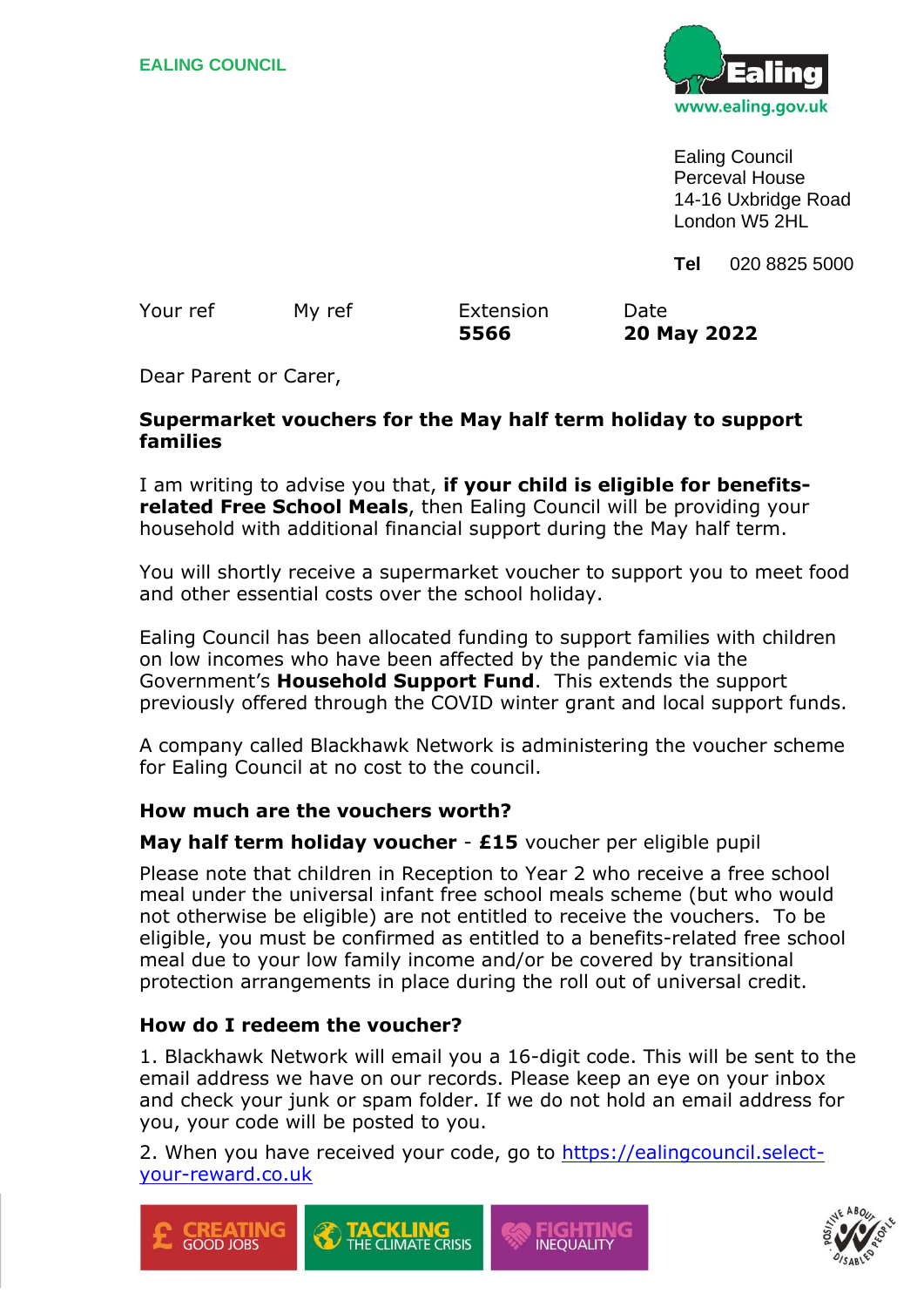

Ealing Council Perceval House 14-16 Uxbridge Road London W5 2HL

**Tel** 020 8825 5000

|          |        | 5566      | 20 May 2022 |
|----------|--------|-----------|-------------|
| Your ref | My ref | Extension | Date        |

Dear Parent or Carer,

### **Supermarket vouchers for the May half term holiday to support families**

I am writing to advise you that, **if your child is eligible for benefitsrelated Free School Meals**, then Ealing Council will be providing your household with additional financial support during the May half term.

You will shortly receive a supermarket voucher to support you to meet food and other essential costs over the school holiday.

Ealing Council has been allocated funding to support families with children on low incomes who have been affected by the pandemic via the Government's **Household Support Fund**. This extends the support previously offered through the COVID winter grant and local support funds.

A company called Blackhawk Network is administering the voucher scheme for Ealing Council at no cost to the council.

### **How much are the vouchers worth?**

### **May half term holiday voucher** - **£15** voucher per eligible pupil

Please note that children in Reception to Year 2 who receive a free school meal under the universal infant free school meals scheme (but who would not otherwise be eligible) are not entitled to receive the vouchers. To be eligible, you must be confirmed as entitled to a benefits-related free school meal due to your low family income and/or be covered by transitional protection arrangements in place during the roll out of universal credit.

### **How do I redeem the voucher?**

1. Blackhawk Network will email you a 16-digit code. This will be sent to the email address we have on our records. Please keep an eye on your inbox and check your junk or spam folder. If we do not hold an email address for you, your code will be posted to you.

2. When you have received your code, go to [https://ealingcouncil.select](https://ealingcouncil.select-your-reward.co.uk/)[your-reward.co.uk](https://ealingcouncil.select-your-reward.co.uk/)